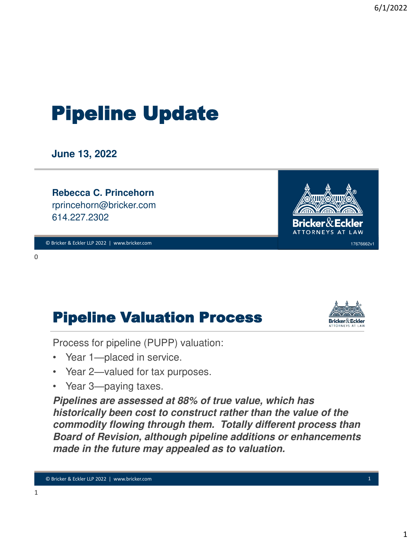# Pipeline Update

**June 13, 2022**

**Rebecca C. Princehorn** rprincehorn@bricker.com 614.227.2302

© Bricker & Eckler LLP 2022 | www.bricker.com © Bricker & Eckler LLP 2021 | www.bricker.com 0

## Pipeline Valuation Process

Process for pipeline (PUPP) valuation:

- Year 1—placed in service.
- Year 2—valued for tax purposes.
- Year 3—paying taxes.

**Pipelines are assessed at 88% of true value, which has historically been cost to construct rather than the value of the commodity flowing through them. Totally different process than Board of Revision, although pipeline additions or enhancements made in the future may appealed as to valuation.** 



ATTORNEYS AT LAW



17676662v1

0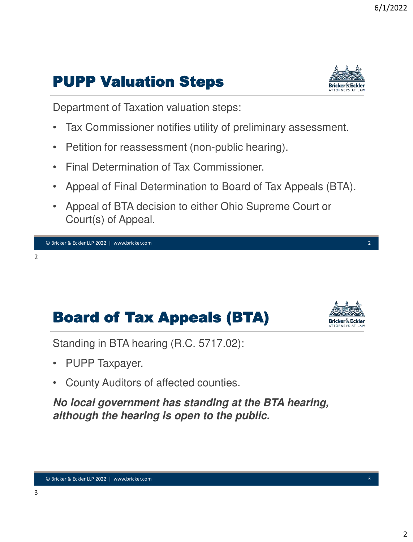### PUPP Valuation Steps



Department of Taxation valuation steps:

- Tax Commissioner notifies utility of preliminary assessment.
- Petition for reassessment (non-public hearing).
- Final Determination of Tax Commissioner.
- Appeal of Final Determination to Board of Tax Appeals (BTA).
- Appeal of BTA decision to either Ohio Supreme Court or Court(s) of Appeal.



```
2
```
### Board of Tax Appeals (BTA)



Standing in BTA hearing (R.C. 5717.02):

- PUPP Taxpayer.
- County Auditors of affected counties.

**No local government has standing at the BTA hearing, although the hearing is open to the public.**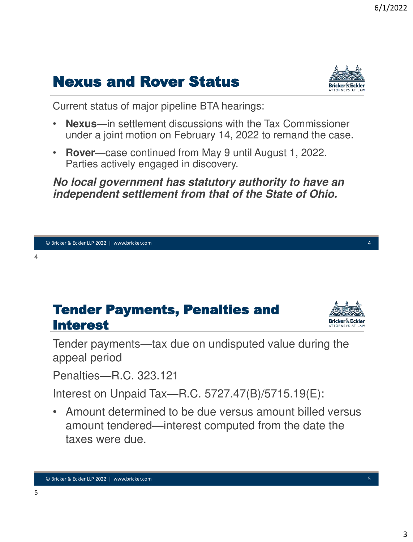### Nexus and Rover Status



Current status of major pipeline BTA hearings:

- **Nexus**—in settlement discussions with the Tax Commissioner under a joint motion on February 14, 2022 to remand the case.
- **Rover**—case continued from May 9 until August 1, 2022. Parties actively engaged in discovery.

#### **No local government has statutory authority to have an independent settlement from that of the State of Ohio.**



Tender payments—tax due on undisputed value during the appeal period

Penalties—R.C. 323.121

Interest on Unpaid Tax—R.C. 5727.47(B)/5715.19(E):

• Amount determined to be due versus amount billed versus amount tendered—interest computed from the date the taxes were due.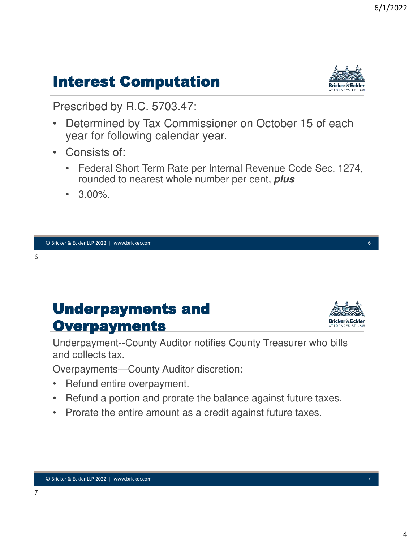# Interest Computation

Prescribed by R.C. 5703.47:

- Determined by Tax Commissioner on October 15 of each year for following calendar year.
- Consists of:
	- Federal Short Term Rate per Internal Revenue Code Sec. 1274, rounded to nearest whole number per cent, **plus**
	- $3.00\%$ .

© Bricker & Eckler LLP 2022 | www.bricker.com © Bricker & Eckler LLP 2021 | www.bricker.com 6

#### 6

7

### Underpayments and **Overpayments**

Underpayment--County Auditor notifies County Treasurer who bills and collects tax.

Overpayments—County Auditor discretion:

- Refund entire overpayment.
- Refund a portion and prorate the balance against future taxes.
- Prorate the entire amount as a credit against future taxes.